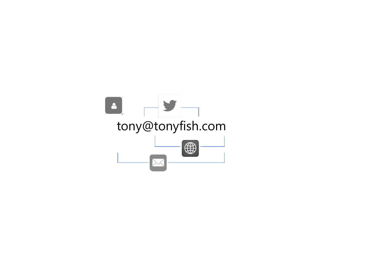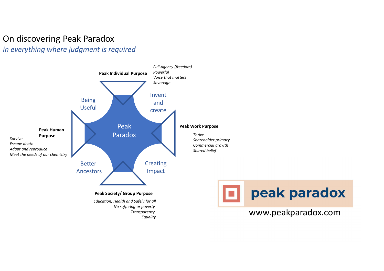## On discovering Peak Paradox in everything where judgment is required

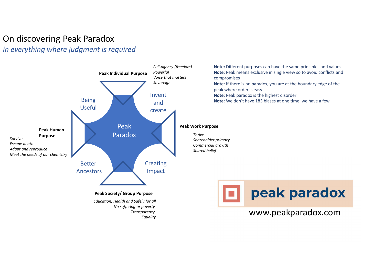## On discovering Peak Paradox in everything where judgment is required

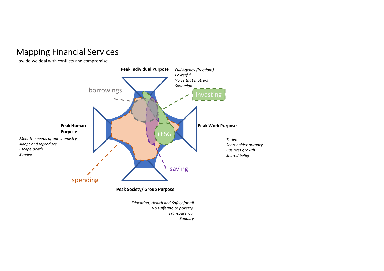# Mapping Financial Services

How do we deal with conflicts and compromise

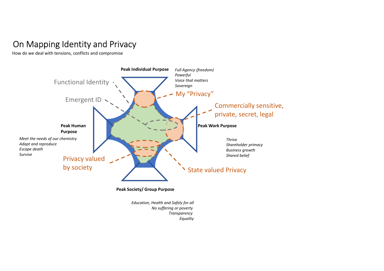# On Mapping Identity and Privacy

How do we deal with tensions, conflicts and compromise



No suffering or poverty **Transparency** Equality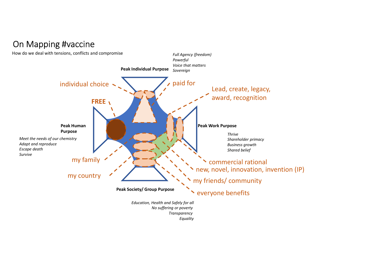### Peak Individual Purpose Peak Society/ Group Purpose Peak Human Purpose Peak Work Purpose Meet the needs of our chemistry Adapt and reproduce Escape death Survive Education, Health and Safely for all No suffering or poverty **Transparency** Full Agency (freedom) Powerful Voice that matters Sovereign Thrive Shareholder primacy Business growth Shared belief On Mapping #vaccine individual choice  $\sim$   $\sim$   $\sim$   $\sim$   $\sim$   $\sim$  paid for How do we deal with tensions, conflicts and compromise commercial rational everyone benefits my country  $\left\langle \right\rangle$   $\left\langle \right\rangle$  my friends/ community my family FREE \ Lead, create, legacy, award, recognition new, novel, innovation, invention (IP)

Equality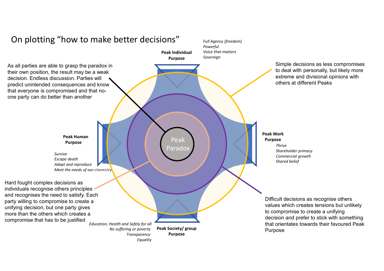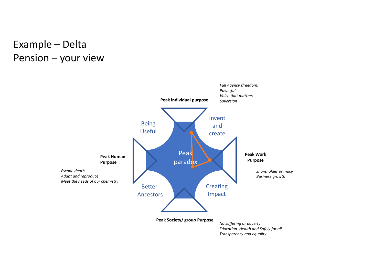# Example – Delta<br>Pension – your view

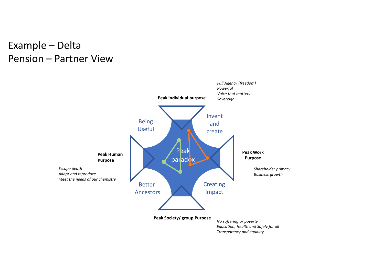# Example – Delta<br>Pension – Partner View